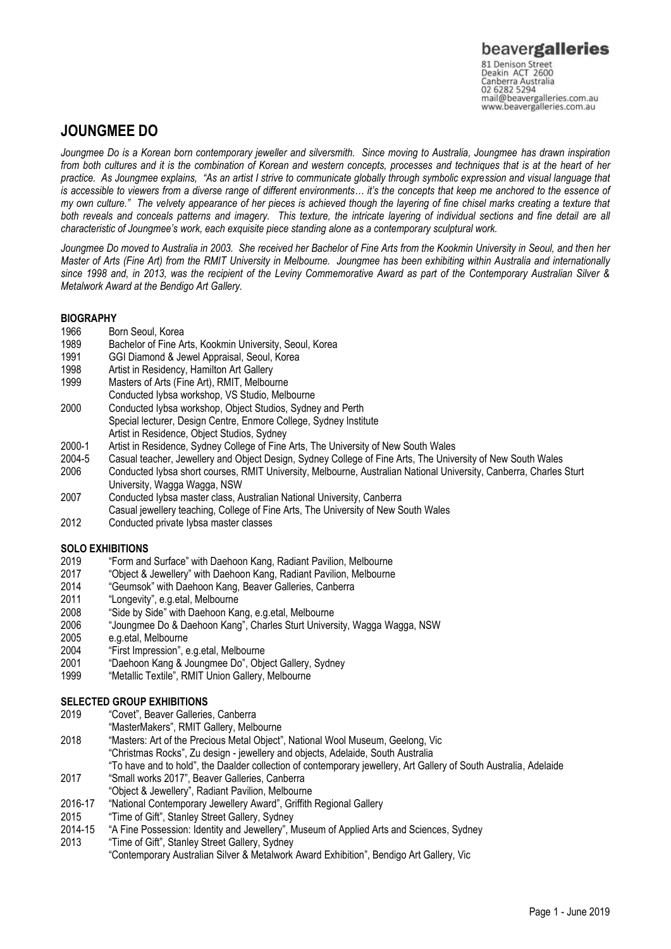# **JOUNGMEE DO**

*Joungmee Do is a Korean born contemporary jeweller and silversmith. Since moving to Australia, Joungmee has drawn inspiration from both cultures and it is the combination of Korean and western concepts, processes and techniques that is at the heart of her practice. As Joungmee explains, "As an artist I strive to communicate globally through symbolic expression and visual language that is accessible to viewers from a diverse range of different environments… it's the concepts that keep me anchored to the essence of my own culture." The velvety appearance of her pieces is achieved though the layering of fine chisel marks creating a texture that both reveals and conceals patterns and imagery. This texture, the intricate layering of individual sections and fine detail are all characteristic of Joungmee's work, each exquisite piece standing alone as a contemporary sculptural work.* 

*Joungmee Do moved to Australia in 2003. She received her Bachelor of Fine Arts from the Kookmin University in Seoul, and then her Master of Arts (Fine Art) from the RMIT University in Melbourne. Joungmee has been exhibiting within Australia and internationally since 1998 and, in 2013, was the recipient of the Leviny Commemorative Award as part of the Contemporary Australian Silver & Metalwork Award at the Bendigo Art Gallery.*

### **BIOGRAPHY**

- 1966 Born Seoul, Korea<br>1989 Bachelor of Fine A
- Bachelor of Fine Arts, Kookmin University, Seoul, Korea
- 1991 GGI Diamond & Jewel Appraisal, Seoul, Korea
- 1998 Artist in Residency, Hamilton Art Gallery
- 1999 Masters of Arts (Fine Art), RMIT, Melbourne
- Conducted Iybsa workshop, VS Studio, Melbourne
- 2000 Conducted Iybsa workshop, Object Studios, Sydney and Perth Special lecturer, Design Centre, Enmore College, Sydney Institute Artist in Residence, Object Studios, Sydney
- 2000-1 Artist in Residence, Sydney College of Fine Arts, The University of New South Wales
- 2004-5 Casual teacher, Jewellery and Object Design, Sydney College of Fine Arts, The University of New South Wales
- 2006 Conducted Iybsa short courses, RMIT University, Melbourne, Australian National University, Canberra, Charles Sturt University, Wagga Wagga, NSW
- 2007 Conducted Iybsa master class, Australian National University, Canberra
- Casual jewellery teaching, College of Fine Arts, The University of New South Wales
- 2012 Conducted private Iybsa master classes

## **SOLO EXHIBITIONS**

- 2019 "Form and Surface" with Daehoon Kang, Radiant Pavilion, Melbourne
- 2017 "Object & Jewellery" with Daehoon Kang, Radiant Pavilion, Melbourne<br>2014 "Geumsok" with Daehoon Kang, Beaver Galleries, Canberra
- 2014 "Geumsok" with Daehoon Kang, Beaver Galleries, Canberra<br>2011 "Longevity", e.g.etal, Melbourne
- 2011 "Longevity", e.g.etal, Melbourne<br>2008 "Side by Side" with Daehoon Ka
- 2008 "Side by Side" with Daehoon Kang, e.g.etal, Melbourne
- 2006 "Joungmee Do & Daehoon Kang", Charles Sturt University, Wagga Wagga, NSW
- e.g.etal, Melbourne
- 2004 "First Impression", e.g.etal, Melbourne
- 2001 "Daehoon Kang & Joungmee Do", Object Gallery, Sydney
- 1999 "Metallic Textile", RMIT Union Gallery, Melbourne

#### **SELECTED GROUP EXHIBITIONS**

- 2019 "Covet", Beaver Galleries, Canberra
- "MasterMakers", RMIT Gallery, Melbourne
- 2018 "Masters: Art of the Precious Metal Object", National Wool Museum, Geelong, Vic "Christmas Rocks", Zu design - jewellery and objects, Adelaide, South Australia
	- "To have and to hold", the Daalder collection of contemporary jewellery, Art Gallery of South Australia, Adelaide
- 2017 "Small works 2017", Beaver Galleries, Canberra
- "Object & Jewellery", Radiant Pavilion, Melbourne
- 2016-17 "National Contemporary Jewellery Award", Griffith Regional Gallery
- 2015 "Time of Gift", Stanley Street Gallery, Sydney
- 2014-15 "A Fine Possession: Identity and Jewellery", Museum of Applied Arts and Sciences, Sydney
- 2013 "Time of Gift", Stanley Street Gallery, Sydney "Contemporary Australian Silver & Metalwork Award Exhibition", Bendigo Art Gallery, Vic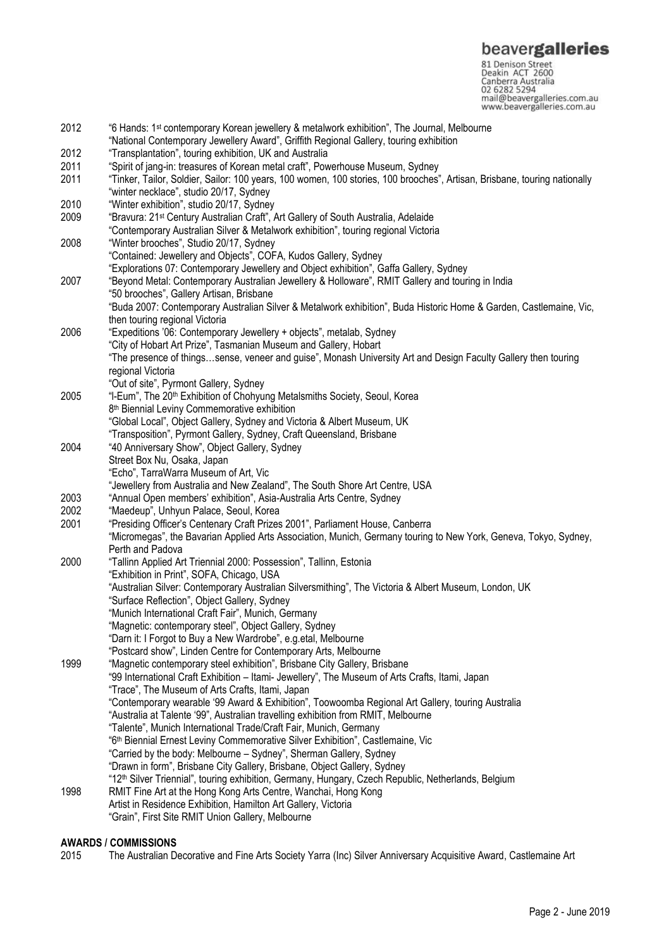# beavergalleries

81 Denison Street<br>Deakin ACT 2600 Canberra Australia mail@beavergalleries.com.au www.beavergalleries.com.au

2012 "6 Hands: 1st contemporary Korean jewellery & metalwork exhibition", The Journal, Melbourne "National Contemporary Jewellery Award", Griffith Regional Gallery, touring exhibition 2012 "Transplantation", touring exhibition, UK and Australia 2011 "Spirit of jang-in: treasures of Korean metal craft", Powerhouse Museum, Sydney 2011 "Tinker, Tailor, Soldier, Sailor: 100 years, 100 women, 100 stories, 100 brooches", Artisan, Brisbane, touring nationally "winter necklace", studio 20/17, Sydney 2010 "Winter exhibition", studio 20/17, Sydney<br>2009 "Bravura: 21<sup>st</sup> Century Australian Craft". "Bravura: 21<sup>st</sup> Century Australian Craft", Art Gallery of South Australia, Adelaide "Contemporary Australian Silver & Metalwork exhibition", touring regional Victoria 2008 "Winter brooches", Studio 20/17, Sydney "Contained: Jewellery and Objects", COFA, Kudos Gallery, Sydney "Explorations 07: Contemporary Jewellery and Object exhibition", Gaffa Gallery, Sydney 2007 "Beyond Metal: Contemporary Australian Jewellery & Holloware", RMIT Gallery and touring in India "50 brooches", Gallery Artisan, Brisbane "Buda 2007: Contemporary Australian Silver & Metalwork exhibition", Buda Historic Home & Garden, Castlemaine, Vic, then touring regional Victoria 2006 "Expeditions '06: Contemporary Jewellery + objects", metalab, Sydney "City of Hobart Art Prize", Tasmanian Museum and Gallery, Hobart "The presence of things…sense, veneer and guise", Monash University Art and Design Faculty Gallery then touring regional Victoria "Out of site", Pyrmont Gallery, Sydney 2005 "l-Eum", The 20th Exhibition of Chohyung Metalsmiths Society, Seoul, Korea 8 th Biennial Leviny Commemorative exhibition "Global Local", Object Gallery, Sydney and Victoria & Albert Museum, UK "Transposition", Pyrmont Gallery, Sydney, Craft Queensland, Brisbane 2004 "40 Anniversary Show", Object Gallery, Sydney Street Box Nu, Osaka, Japan "Echo", TarraWarra Museum of Art, Vic "Jewellery from Australia and New Zealand", The South Shore Art Centre, USA 2003 "Annual Open members' exhibition", Asia-Australia Arts Centre, Sydney 2002 "Maedeup", Unhyun Palace, Seoul, Korea 2001 "Presiding Officer's Centenary Craft Prizes 2001", Parliament House, Canberra "Micromegas", the Bavarian Applied Arts Association, Munich, Germany touring to New York, Geneva, Tokyo, Sydney, Perth and Padova 2000 "Tallinn Applied Art Triennial 2000: Possession", Tallinn, Estonia "Exhibition in Print", SOFA, Chicago, USA "Australian Silver: Contemporary Australian Silversmithing", The Victoria & Albert Museum, London, UK "Surface Reflection", Object Gallery, Sydney "Munich International Craft Fair", Munich, Germany "Magnetic: contemporary steel", Object Gallery, Sydney "Darn it: I Forgot to Buy a New Wardrobe", e.g.etal, Melbourne "Postcard show", Linden Centre for Contemporary Arts, Melbourne 1999 "Magnetic contemporary steel exhibition", Brisbane City Gallery, Brisbane "99 International Craft Exhibition – Itami- Jewellery", The Museum of Arts Crafts, Itami, Japan "Trace", The Museum of Arts Crafts, Itami, Japan "Contemporary wearable '99 Award & Exhibition", Toowoomba Regional Art Gallery, touring Australia "Australia at Talente '99", Australian travelling exhibition from RMIT, Melbourne "Talente", Munich International Trade/Craft Fair, Munich, Germany "6th Biennial Ernest Leviny Commemorative Silver Exhibition", Castlemaine, Vic "Carried by the body: Melbourne – Sydney", Sherman Gallery, Sydney "Drawn in form", Brisbane City Gallery, Brisbane, Object Gallery, Sydney "12<sup>th</sup> Silver Triennial", touring exhibition, Germany, Hungary, Czech Republic, Netherlands, Belgium 1998 RMIT Fine Art at the Hong Kong Arts Centre, Wanchai, Hong Kong Artist in Residence Exhibition, Hamilton Art Gallery, Victoria "Grain", First Site RMIT Union Gallery, Melbourne

#### **AWARDS / COMMISSIONS**

2015 The Australian Decorative and Fine Arts Society Yarra (Inc) Silver Anniversary Acquisitive Award, Castlemaine Art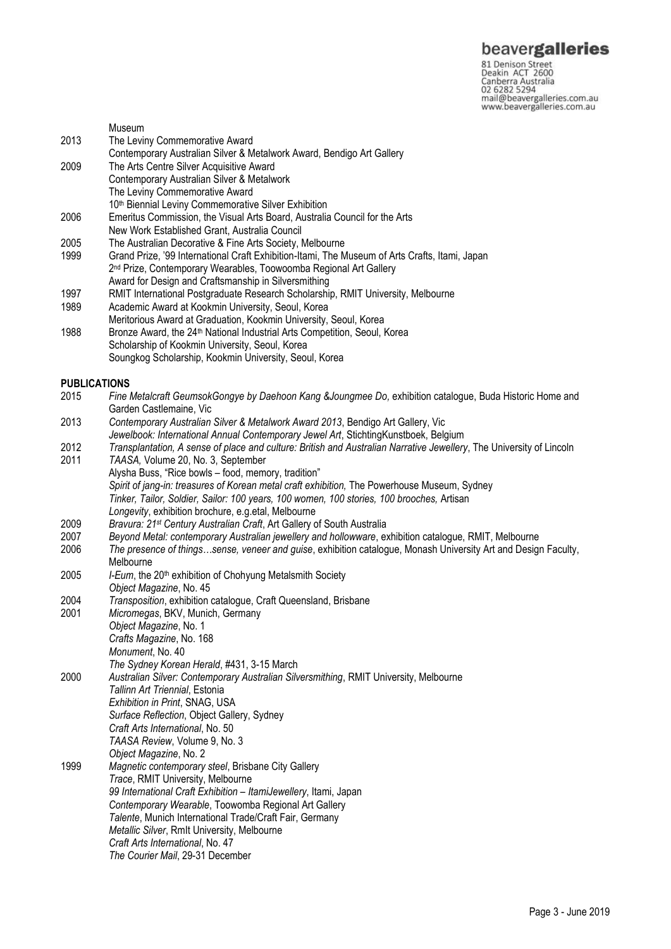**beavergalleries**<br> **81 Denison Street**<br>
Deakin ACT 2600<br>
Canberra Australia<br>
02 6282 5294<br>
mail@beavergalleries.com.au<br>
www.beavergalleries.com.au

|                     | Museum                                                                                                               |
|---------------------|----------------------------------------------------------------------------------------------------------------------|
| 2013                | The Leviny Commemorative Award                                                                                       |
|                     | Contemporary Australian Silver & Metalwork Award, Bendigo Art Gallery                                                |
| 2009                | The Arts Centre Silver Acquisitive Award                                                                             |
|                     | Contemporary Australian Silver & Metalwork                                                                           |
|                     | The Leviny Commemorative Award                                                                                       |
|                     | 10 <sup>th</sup> Biennial Leviny Commemorative Silver Exhibition                                                     |
| 2006                | Emeritus Commission, the Visual Arts Board, Australia Council for the Arts                                           |
|                     | New Work Established Grant, Australia Council                                                                        |
| 2005                | The Australian Decorative & Fine Arts Society, Melbourne                                                             |
| 1999                | Grand Prize, '99 International Craft Exhibition-Itami, The Museum of Arts Crafts, Itami, Japan                       |
|                     | 2 <sup>nd</sup> Prize, Contemporary Wearables, Toowoomba Regional Art Gallery                                        |
|                     | Award for Design and Craftsmanship in Silversmithing                                                                 |
| 1997                | RMIT International Postgraduate Research Scholarship, RMIT University, Melbourne                                     |
| 1989                | Academic Award at Kookmin University, Seoul, Korea                                                                   |
|                     |                                                                                                                      |
|                     | Meritorious Award at Graduation, Kookmin University, Seoul, Korea                                                    |
| 1988                | Bronze Award, the 24 <sup>th</sup> National Industrial Arts Competition, Seoul, Korea                                |
|                     | Scholarship of Kookmin University, Seoul, Korea                                                                      |
|                     | Soungkog Scholarship, Kookmin University, Seoul, Korea                                                               |
| <b>PUBLICATIONS</b> |                                                                                                                      |
| 2015                | Fine Metalcraft GeumsokGongye by Daehoon Kang &Joungmee Do, exhibition catalogue, Buda Historic Home and             |
|                     | Garden Castlemaine, Vic                                                                                              |
| 2013                | Contemporary Australian Silver & Metalwork Award 2013, Bendigo Art Gallery, Vic                                      |
|                     | Jewelbook: International Annual Contemporary Jewel Art, StichtingKunstboek, Belgium                                  |
| 2012                | Transplantation, A sense of place and culture: British and Australian Narrative Jewellery, The University of Lincoln |
| 2011                | TAASA, Volume 20, No. 3, September                                                                                   |
|                     | Alysha Buss, "Rice bowls - food, memory, tradition"                                                                  |
|                     | Spirit of jang-in: treasures of Korean metal craft exhibition, The Powerhouse Museum, Sydney                         |
|                     | Tinker, Tailor, Soldier, Sailor: 100 years, 100 women, 100 stories, 100 brooches, Artisan                            |
|                     |                                                                                                                      |
| 2009                | Longevity, exhibition brochure, e.g.etal, Melbourne                                                                  |
|                     | Bravura: 21 <sup>st</sup> Century Australian Craft, Art Gallery of South Australia                                   |
| 2007                | Beyond Metal: contemporary Australian jewellery and hollowware, exhibition catalogue, RMIT, Melbourne                |
| 2006                | The presence of thingssense, veneer and guise, exhibition catalogue, Monash University Art and Design Faculty,       |
|                     | Melbourne                                                                                                            |
| 2005                | I-Eum, the 20 <sup>th</sup> exhibition of Chohyung Metalsmith Society                                                |
|                     | Object Magazine, No. 45                                                                                              |
| 2004                | Transposition, exhibition catalogue, Craft Queensland, Brisbane                                                      |
| 2001                | Micromegas, BKV, Munich, Germany                                                                                     |
|                     | Object Magazine, No. 1                                                                                               |
|                     | Crafts Magazine, No. 168                                                                                             |
|                     | Monument, No. 40                                                                                                     |
|                     | The Sydney Korean Herald, #431, 3-15 March                                                                           |
| 2000                | Australian Silver: Contemporary Australian Silversmithing, RMIT University, Melbourne                                |
|                     | Tallinn Art Triennial, Estonia                                                                                       |
|                     | Exhibition in Print, SNAG, USA                                                                                       |
|                     | Surface Reflection, Object Gallery, Sydney                                                                           |
|                     | Craft Arts International, No. 50                                                                                     |
|                     | TAASA Review, Volume 9, No. 3                                                                                        |
|                     | Object Magazine, No. 2                                                                                               |
| 1999                | Magnetic contemporary steel, Brisbane City Gallery                                                                   |
|                     | Trace, RMIT University, Melbourne                                                                                    |
|                     | 99 International Craft Exhibition - ItamiJewellery, Itami, Japan                                                     |

- *Contemporary Wearable*, Toowomba Regional Art Gallery
	- *Talente*, Munich International Trade/Craft Fair, Germany
		- *Metallic Silver*, RmIt University, Melbourne
		- *Craft Arts International*, No. 47

Museum

*The Courier Mail*, 29-31 December